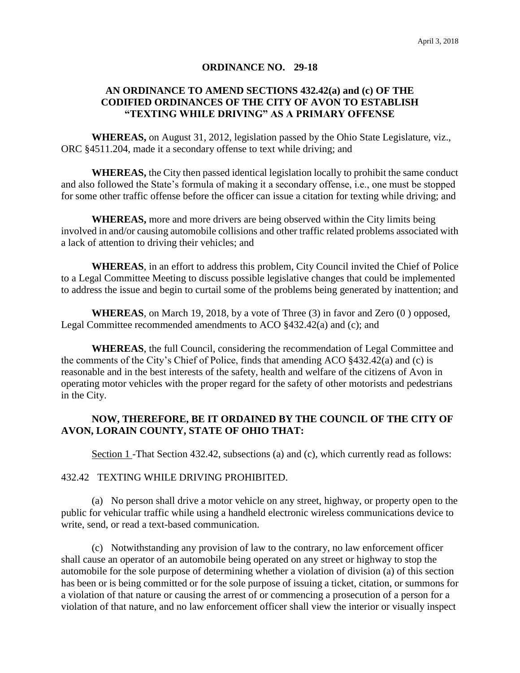#### **ORDINANCE NO. 29-18**

# **AN ORDINANCE TO AMEND SECTIONS 432.42(a) and (c) OF THE CODIFIED ORDINANCES OF THE CITY OF AVON TO ESTABLISH "TEXTING WHILE DRIVING" AS A PRIMARY OFFENSE**

**WHEREAS,** on August 31, 2012, legislation passed by the Ohio State Legislature, viz., ORC §4511.204, made it a secondary offense to text while driving; and

**WHEREAS,** the City then passed identical legislation locally to prohibit the same conduct and also followed the State's formula of making it a secondary offense, i.e., one must be stopped for some other traffic offense before the officer can issue a citation for texting while driving; and

**WHEREAS,** more and more drivers are being observed within the City limits being involved in and/or causing automobile collisions and other traffic related problems associated with a lack of attention to driving their vehicles; and

**WHEREAS**, in an effort to address this problem, City Council invited the Chief of Police to a Legal Committee Meeting to discuss possible legislative changes that could be implemented to address the issue and begin to curtail some of the problems being generated by inattention; and

**WHEREAS**, on March 19, 2018, by a vote of Three (3) in favor and Zero (0 ) opposed, Legal Committee recommended amendments to ACO §432.42(a) and (c); and

**WHEREAS**, the full Council, considering the recommendation of Legal Committee and the comments of the City's Chief of Police, finds that amending ACO §432.42(a) and (c) is reasonable and in the best interests of the safety, health and welfare of the citizens of Avon in operating motor vehicles with the proper regard for the safety of other motorists and pedestrians in the City.

# **NOW, THEREFORE, BE IT ORDAINED BY THE COUNCIL OF THE CITY OF AVON, LORAIN COUNTY, STATE OF OHIO THAT:**

Section 1 -That Section 432.42, subsections (a) and (c), which currently read as follows:

### 432.42 TEXTING WHILE DRIVING PROHIBITED.

(a) No person shall drive a motor vehicle on any street, highway, or property open to the public for vehicular traffic while using a handheld electronic wireless communications device to write, send, or read a text-based communication.

(c) Notwithstanding any provision of law to the contrary, no law enforcement officer shall cause an operator of an automobile being operated on any street or highway to stop the automobile for the sole purpose of determining whether a violation of division (a) of this section has been or is being committed or for the sole purpose of issuing a ticket, citation, or summons for a violation of that nature or causing the arrest of or commencing a prosecution of a person for a violation of that nature, and no law enforcement officer shall view the interior or visually inspect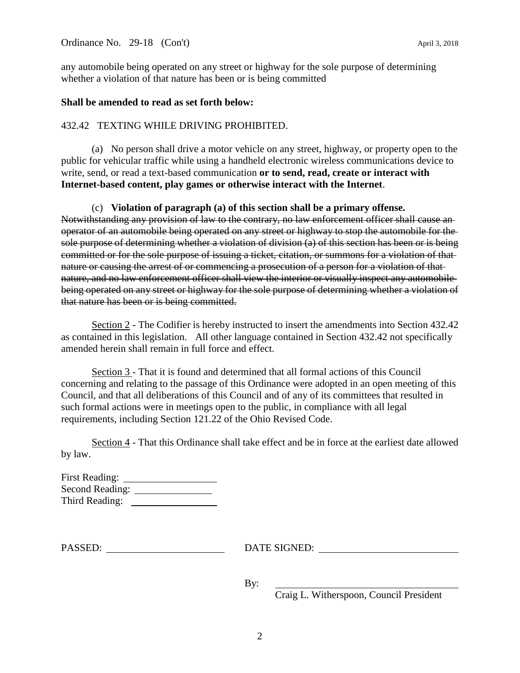Ordinance No. 29-18 (Con't) April 3, 2018

any automobile being operated on any street or highway for the sole purpose of determining whether a violation of that nature has been or is being committed

# **Shall be amended to read as set forth below:**

## 432.42 TEXTING WHILE DRIVING PROHIBITED.

(a) No person shall drive a motor vehicle on any street, highway, or property open to the public for vehicular traffic while using a handheld electronic wireless communications device to write, send, or read a text-based communication **or to send, read, create or interact with Internet-based content, play games or otherwise interact with the Internet**.

(c) **Violation of paragraph (a) of this section shall be a primary offense.** 

Notwithstanding any provision of law to the contrary, no law enforcement officer shall cause an operator of an automobile being operated on any street or highway to stop the automobile for the sole purpose of determining whether a violation of division (a) of this section has been or is being committed or for the sole purpose of issuing a ticket, citation, or summons for a violation of that nature or causing the arrest of or commencing a prosecution of a person for a violation of that nature, and no law enforcement officer shall view the interior or visually inspect any automobile being operated on any street or highway for the sole purpose of determining whether a violation of that nature has been or is being committed.

Section 2 - The Codifier is hereby instructed to insert the amendments into Section 432.42 as contained in this legislation. All other language contained in Section 432.42 not specifically amended herein shall remain in full force and effect.

Section 3 - That it is found and determined that all formal actions of this Council concerning and relating to the passage of this Ordinance were adopted in an open meeting of this Council, and that all deliberations of this Council and of any of its committees that resulted in such formal actions were in meetings open to the public, in compliance with all legal requirements, including Section 121.22 of the Ohio Revised Code.

Section 4 - That this Ordinance shall take effect and be in force at the earliest date allowed by law.

| <b>First Reading:</b> |  |
|-----------------------|--|
| Second Reading:       |  |
| Third Reading:        |  |

PASSED: DATE SIGNED:

By:

Craig L. Witherspoon, Council President